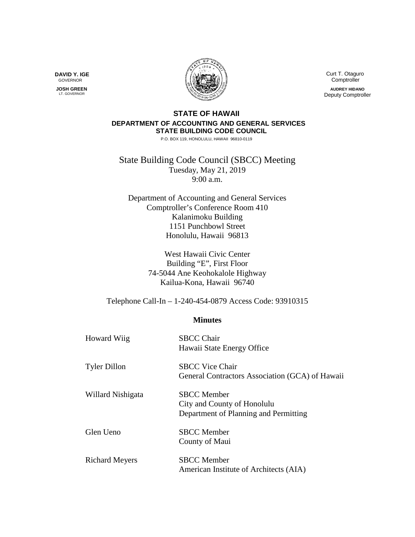

 Curt T. Otaguro Comptroller **AUDREY HIDANO** Deputy Comptroller

## **STATE OF HAWAII DEPARTMENT OF ACCOUNTING AND GENERAL SERVICES STATE BUILDING CODE COUNCIL**

P.O. BOX 119, HONOLULU, HAWAII 96810-0119

State Building Code Council (SBCC) Meeting Tuesday, May 21, 2019 9:00 a.m.

Department of Accounting and General Services Comptroller's Conference Room 410 Kalanimoku Building 1151 Punchbowl Street Honolulu, Hawaii 96813

> West Hawaii Civic Center Building "E", First Floor 74-5044 Ane Keohokalole Highway Kailua-Kona, Hawaii 96740

Telephone Call-In – 1-240-454-0879 Access Code: 93910315

## **Minutes**

| <b>Howard Wiig</b>    | <b>SBCC Chair</b><br>Hawaii State Energy Office                                            |
|-----------------------|--------------------------------------------------------------------------------------------|
| <b>Tyler Dillon</b>   | <b>SBCC Vice Chair</b><br>General Contractors Association (GCA) of Hawaii                  |
| Willard Nishigata     | <b>SBCC</b> Member<br>City and County of Honolulu<br>Department of Planning and Permitting |
| Glen Ueno             | <b>SBCC</b> Member<br>County of Maui                                                       |
| <b>Richard Meyers</b> | <b>SBCC</b> Member<br>American Institute of Architects (AIA)                               |

**DAVID Y. IGE** GOVERNOR

 **JOSH GREEN** LT. GOVERNOR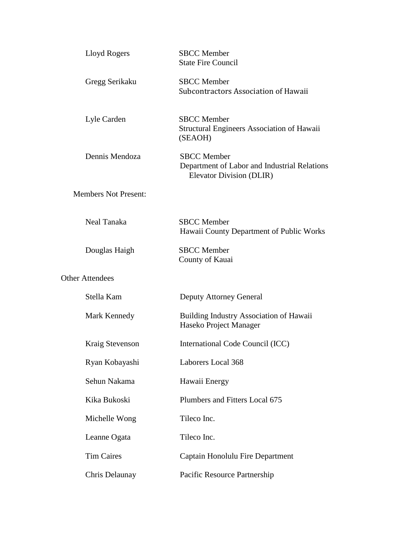| Lloyd Rogers                | <b>SBCC</b> Member<br><b>State Fire Council</b>                                                |
|-----------------------------|------------------------------------------------------------------------------------------------|
| Gregg Serikaku              | <b>SBCC</b> Member<br>Subcontractors Association of Hawaii                                     |
| Lyle Carden                 | <b>SBCC</b> Member<br>Structural Engineers Association of Hawaii<br>(SEAOH)                    |
| Dennis Mendoza              | <b>SBCC</b> Member<br>Department of Labor and Industrial Relations<br>Elevator Division (DLIR) |
| <b>Members Not Present:</b> |                                                                                                |
| Neal Tanaka                 | <b>SBCC</b> Member<br>Hawaii County Department of Public Works                                 |
| Douglas Haigh               | <b>SBCC</b> Member<br>County of Kauai                                                          |
| <b>Other Attendees</b>      |                                                                                                |
| Stella Kam                  | Deputy Attorney General                                                                        |
| Mark Kennedy                | <b>Building Industry Association of Hawaii</b><br>Haseko Project Manager                       |
| Kraig Stevenson             | International Code Council (ICC)                                                               |
| Ryan Kobayashi              | Laborers Local 368                                                                             |
| Sehun Nakama                | Hawaii Energy                                                                                  |
| Kika Bukoski                | Plumbers and Fitters Local 675                                                                 |
| Michelle Wong               | Tileco Inc.                                                                                    |
| Leanne Ogata                | Tileco Inc.                                                                                    |
| <b>Tim Caires</b>           | Captain Honolulu Fire Department                                                               |
| Chris Delaunay              | Pacific Resource Partnership                                                                   |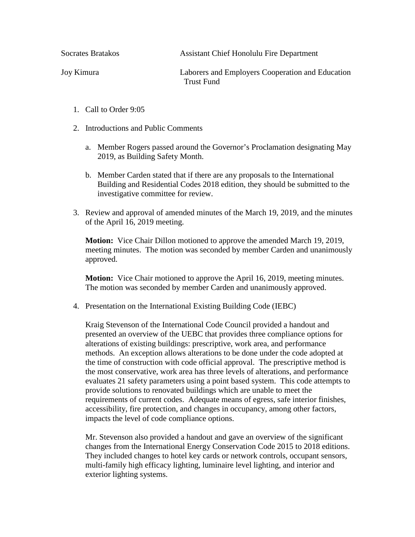Socrates Bratakos Assistant Chief Honolulu Fire Department

Joy Kimura Laborers and Employers Cooperation and Education Trust Fund

- 1. Call to Order 9:05
- 2. Introductions and Public Comments
	- a. Member Rogers passed around the Governor's Proclamation designating May 2019, as Building Safety Month.
	- b. Member Carden stated that if there are any proposals to the International Building and Residential Codes 2018 edition, they should be submitted to the investigative committee for review.
- 3. Review and approval of amended minutes of the March 19, 2019, and the minutes of the April 16, 2019 meeting.

**Motion:** Vice Chair Dillon motioned to approve the amended March 19, 2019, meeting minutes. The motion was seconded by member Carden and unanimously approved.

**Motion:** Vice Chair motioned to approve the April 16, 2019, meeting minutes. The motion was seconded by member Carden and unanimously approved.

4. Presentation on the International Existing Building Code (IEBC)

Kraig Stevenson of the International Code Council provided a handout and presented an overview of the UEBC that provides three compliance options for alterations of existing buildings: prescriptive, work area, and performance methods. An exception allows alterations to be done under the code adopted at the time of construction with code official approval. The prescriptive method is the most conservative, work area has three levels of alterations, and performance evaluates 21 safety parameters using a point based system. This code attempts to provide solutions to renovated buildings which are unable to meet the requirements of current codes. Adequate means of egress, safe interior finishes, accessibility, fire protection, and changes in occupancy, among other factors, impacts the level of code compliance options.

Mr. Stevenson also provided a handout and gave an overview of the significant changes from the International Energy Conservation Code 2015 to 2018 editions. They included changes to hotel key cards or network controls, occupant sensors, multi-family high efficacy lighting, luminaire level lighting, and interior and exterior lighting systems.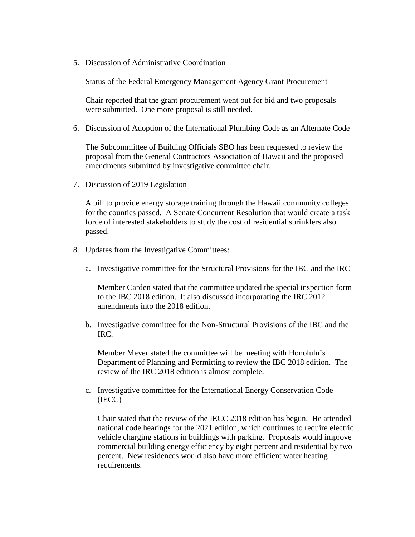5. Discussion of Administrative Coordination

Status of the Federal Emergency Management Agency Grant Procurement

Chair reported that the grant procurement went out for bid and two proposals were submitted. One more proposal is still needed.

6. Discussion of Adoption of the International Plumbing Code as an Alternate Code

The Subcommittee of Building Officials SBO has been requested to review the proposal from the General Contractors Association of Hawaii and the proposed amendments submitted by investigative committee chair.

7. Discussion of 2019 Legislation

A bill to provide energy storage training through the Hawaii community colleges for the counties passed. A Senate Concurrent Resolution that would create a task force of interested stakeholders to study the cost of residential sprinklers also passed.

- 8. Updates from the Investigative Committees:
	- a. Investigative committee for the Structural Provisions for the IBC and the IRC

Member Carden stated that the committee updated the special inspection form to the IBC 2018 edition. It also discussed incorporating the IRC 2012 amendments into the 2018 edition.

b. Investigative committee for the Non-Structural Provisions of the IBC and the IRC.

Member Meyer stated the committee will be meeting with Honolulu's Department of Planning and Permitting to review the IBC 2018 edition. The review of the IRC 2018 edition is almost complete.

c. Investigative committee for the International Energy Conservation Code (IECC)

Chair stated that the review of the IECC 2018 edition has begun. He attended national code hearings for the 2021 edition, which continues to require electric vehicle charging stations in buildings with parking. Proposals would improve commercial building energy efficiency by eight percent and residential by two percent. New residences would also have more efficient water heating requirements.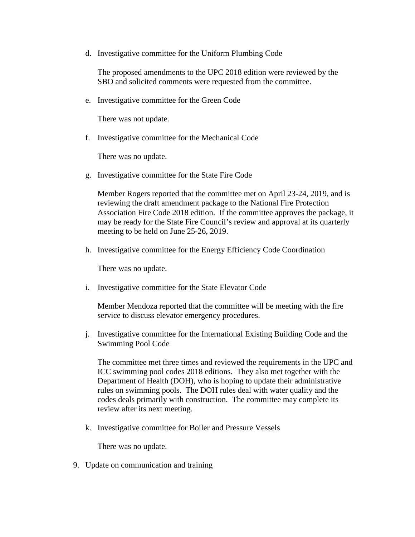d. Investigative committee for the Uniform Plumbing Code

The proposed amendments to the UPC 2018 edition were reviewed by the SBO and solicited comments were requested from the committee.

e. Investigative committee for the Green Code

There was not update.

f. Investigative committee for the Mechanical Code

There was no update.

g. Investigative committee for the State Fire Code

Member Rogers reported that the committee met on April 23-24, 2019, and is reviewing the draft amendment package to the National Fire Protection Association Fire Code 2018 edition. If the committee approves the package, it may be ready for the State Fire Council's review and approval at its quarterly meeting to be held on June 25-26, 2019.

h. Investigative committee for the Energy Efficiency Code Coordination

There was no update.

i. Investigative committee for the State Elevator Code

Member Mendoza reported that the committee will be meeting with the fire service to discuss elevator emergency procedures.

j. Investigative committee for the International Existing Building Code and the Swimming Pool Code

The committee met three times and reviewed the requirements in the UPC and ICC swimming pool codes 2018 editions. They also met together with the Department of Health (DOH), who is hoping to update their administrative rules on swimming pools. The DOH rules deal with water quality and the codes deals primarily with construction. The committee may complete its review after its next meeting.

k. Investigative committee for Boiler and Pressure Vessels

There was no update.

9. Update on communication and training